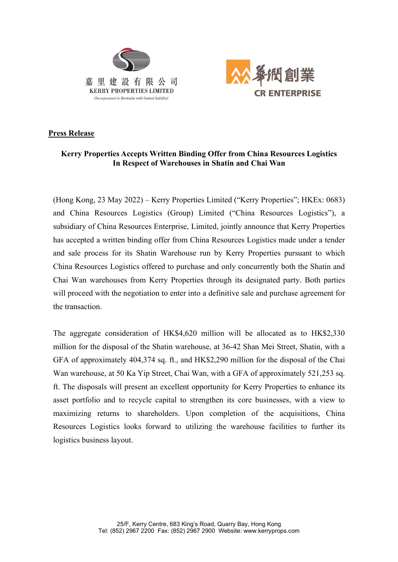



## Press Release

# Kerry Properties Accepts Written Binding Offer from China Resources Logistics In Respect of Warehouses in Shatin and Chai Wan

(Hong Kong, 23 May 2022) – Kerry Properties Limited ("Kerry Properties"; HKEx: 0683) and China Resources Logistics (Group) Limited ("China Resources Logistics"), a subsidiary of China Resources Enterprise, Limited, jointly announce that Kerry Properties has accepted a written binding offer from China Resources Logistics made under a tender and sale process for its Shatin Warehouse run by Kerry Properties pursuant to which China Resources Logistics offered to purchase and only concurrently both the Shatin and Chai Wan warehouses from Kerry Properties through its designated party. Both parties will proceed with the negotiation to enter into a definitive sale and purchase agreement for the transaction.

The aggregate consideration of HK\$4,620 million will be allocated as to HK\$2,330 million for the disposal of the Shatin warehouse, at 36-42 Shan Mei Street, Shatin, with a GFA of approximately 404,374 sq. ft., and HK\$2,290 million for the disposal of the Chai Wan warehouse, at 50 Ka Yip Street, Chai Wan, with a GFA of approximately 521,253 sq. ft. The disposals will present an excellent opportunity for Kerry Properties to enhance its asset portfolio and to recycle capital to strengthen its core businesses, with a view to maximizing returns to shareholders. Upon completion of the acquisitions, China Resources Logistics looks forward to utilizing the warehouse facilities to further its logistics business layout.